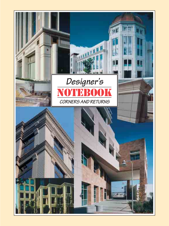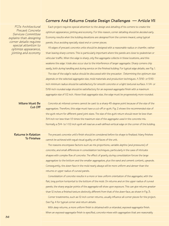## **Corners And Returns Create Design Challenges — Article VII**

*PCI's Architectural Precast Concrete Services Committee explains that designing corner details requires special attention to optimize appearance, jointing and economy*

Each project requires special attention to the design and detailing of its corners to create the optimum appearance, jointing and economy. For this reason, corner detailing should be decided early. Economy results when the building elevations are designed from the corners inward, using typical panels, thus avoiding specially sized end or corner pieces.

All edges of precast concrete units should be designed with a reasonable radius or chamfer, rather than leaving sharp corners. This is particularly important where the panels are close to pedestrian or vehicular traffic. When the edge is sharp, only fine aggregate collects in these locations, and this weakens the edge. Voids also occur due to the interference of larger aggregate. Sharp corners chip easily, both during handling and during service on the finished building. For typical edge details, see Fig. 1.

The size of the edge's radius should be discussed with the precaster. Determining the optimum size depends on the selected aggregate size, mold materials and production techniques. A 3/16- or 5/16 inch minimum radius should be satisfactory for smooth concrete or a light textured surface. A 1/4- or 5/16-inch rounded edge should be satisfactory for an exposed-aggregate finish with a maximum aggregate size of 1/2 inch. Above that aggregate size, the edge must be progressively more rounded.

#### **Miters Must Be Cut Off**

Concrete at mitered corners cannot be cast to a sharp 45-degree point because of the size of the aggregates. Therefore, this edge must have a cut-off or quirk. Fig. 2 shows the recommended size of the quirk return for different panel joint sizes. The size of the quirk return should never be less than 3/4 inch nor less than 1.5 times the maximum size of the aggregate used in the concrete mix. Normally a 3/4- to 1-1/2-inch quirk will read as a well-defined vertical edge on the corner of the building.

## **Returns In Relation To Finishes**

The precast concrete unit's finish should be considered before its shape is finalized. Many finishes cannot be achieved with equal visual quality on all faces of the unit.

The reasons encompass factors such as mix proportions, variable depths (and pressures) of concrete, and small differences in consolidation techniques, particularly in the case of intricate shapes with complex flow of concrete. The effect of gravity during consolidation forces the large aggregates to the bottom and the smaller aggregates, plus the sand and cement content, upwards. Consequently, the down-face in the mold nearly always will be more uniform and denser than the returns or upper radius of curved panels.

Consolidation of concrete results in a more or less uniform orientation of the aggregate, with the flat, long portion horizontal to the bottom of the mold. On returns and on the upper radius of curved panels, the sharp angular points of the aggregate will show upon exposure. This can give returns greater than 12 inches a finished texture distinctly different from that of the down-face, as shown in Fig. 3.

Corner treatments, such as 12-inch corner returns, usually influence all corner pieces for the project. See Fig. 4 for typical corner and return details.

With deep returns, a more uniform finish is obtained with a retarded, exposed-aggregate finish. When an exposed-aggregate finish is specified, concrete mixes with aggregates that are reasonably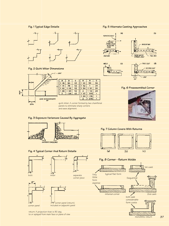

## **Fig. 2 Quirk Miter Dimensions**













#### **Fig. 4 Typical Corner And Return Details**





included on adjacent panel

return: A projection that is 90 deg. to or splayed from main face or plane of view

**Fig. 7 Column Covers With Returns**



## **Fig. 8 Corner - Return Molds**

Very little form expense

 $\overline{\mathbf{c}}$ 

 $3/4$ 3/4

 $3/4$ 

 $\frac{3}{4}$ 

1

 $\blacksquare$ 

 $\overline{1}$ 



monolithic return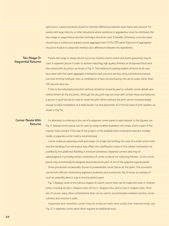spherical or cubical should be chosen to minimize differences between down-faces and returns. For panels with large returns, or other situations where variations in appearance must be minimized, the two-stage or sequential production technique should be used, if feasible. Otherwise, concrete mixes should have a continuous graded coarse aggregate and ASTM C33 sand. Exposure of aggregates should be medium to deep with minimal color differences between mix ingredients.

## **Two Stage Or Sequential Returns**

Panels with large or steep returns (such as channel column covers and some spandrels) may be cast in separate pieces in order to achieve matching, high-quality finishes on all exposed faces and then joined with dry joints, as shown in Fig. 5. This method of casting enables all faces to be cast face-down with the same aggregate orientation and concrete density using conventional precast concrete forming methods. Also, a combination of face mix and backup mix can be used, rather than 100 percent face mix.

If this is the indicated production method, attention should be paid to suitable corner details and reinforcement at the dry joints. Although the dry joint may not show with certain mixes and textures, a groove or quirk should be used to mask the joint. Where desired, the joint can be recessed deeply enough to allow installation of a small backer rod and placement of a 1/4-inch bead of joint sealant, as shown in Fig. 5c.

#### **Corner Panels With Returns**

An alternate to mitering is the use of a separate corner panel to add interest to the façade, see Fig. 4. Special corner pieces can be cast by using modified standard unit molds, which is part of the master mold concept. If the size of the project or the available time constraints warrant multiple molds, a separate corner mold is recommended.

Corner molds are generally small and simple. On a high-rise building, the cost of a small corner mold and the handling of an extra piece may offset the modification costs of the master mold and/or be justified by the additional flexibility in erection tolerances. Separate corners also may be advantageous in providing similar orientation of corner surfaces for matching finishes. Or the corner pieces may economically be designed and produced as part of one of the adjacent typical panels.

Some precasters occasionally choose to preassemble corner pieces at the plant. This procedure can be both efficient (eliminating alignment problems) and economical. Fig. 6 shows an example of such an assembly done in a jig in the precaster's yard.

Fig. 7 displays some of the various shapes of column covers that can be made with butt or mitered joints, including (a) two L-shaped units, (b) four L-shaped units, and (c) two U-shaped units. There are, of course, many other combinations that can be used to accommodate isolated columns, corner columns and columns in walls.

Sequential and monolithic corner (return) molds are both more costly than mitered molds, see Fig. 8. A separate corner panel often requires an additional mold.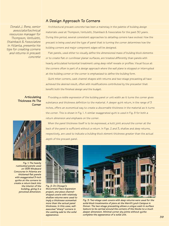# **A Design Approach To Corners**

*Donald J. Benz, senior associate/technical resources manager for Thompson, Ventulett, Stainback & Associates in Atlanta, presents his tips for creating corners and returns in precast concrete* 

Architectural precast concrete has been a mainstay in the palette of building design materials used at Thompson, Ventulett, Stainback & Associates for the past 30 years. During this period, several consistent approaches to detailing corners have evolved. How the precast is being used and the type of panel that is turning the corner determines how the building corners and major component edges will be designed.

Flat panels, used either to visually define the dimensioned mass of building-block elements or to create flat or curvilinear planar surfaces, are treated differently than panels with heavily articulated horizontal treatment using deep relief reveals or profiles. Visual focus at the corners often is part of a design approach where the wall plane is stopped or interrupted at the building corner or the corner is emphasized to define the building form.

Quirk miter corners, cast channel shapes with returns and two-stage precasting all have achieved the desired result, often with modifications contributed by the precaster that benefit both the finished design and the budget.

**Articulating Thickness At The Corner**

Providing a visible expression of the building panel or unit width as it turns the corner gives substance and thickness definition to the material. A deeper quirk return, in the range of 3 inches, offers an economical way to create a discernable thickness in the material as it turns the corner. This is shown in Fig. 1. A similar exaggerated quirk is used in Fig. 8 for both a return dimension and emphasis on the corner.



*Fig. 1: The heavily rusticated panels used on 1335 Windward Concourse in Atlanta are thickened flat panels with exaggerated 3-inch quirks at the corners to create a return back into the interior of the building, giving it a perceived dimension.* 

When the panel thickness itself is to be expressed, a butt joint around the corner at the back of the panel is sufficient without a return. In Figs. 2 and 3, shallow and deep returns, respectively, are used to indicate a building-block element thickness greater than the actual depth of the precast panel.



*Fig. 2: On Chicago's McCormick Place Expansion project, one-piece channelshaped covers with relatively shallow returns were used to imply a thickness somewhat more than the actual panel thickness. In this case, wellexecuted "sharp" corners in the casting add to the solid appearance.* 



*Fig. 3: Two-stage cast covers with deep returns were used for the solid-block treatments of piers at the Merrill Lynch Campus in Denver. The two-stage precasting allows a unique cast-in surface texture to be carried around the corners of the blocks to a much deeper dimension. Minimal corner dry joints without quirks complete the appearance of a solid unit.*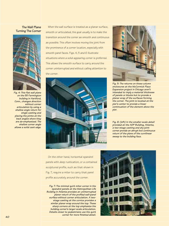## **The Wall Plane Turning The Corner**



*Fig. 4: This flat wall plane on the 55 Farmington building in Hartford, Conn., changes direction without corner articulation by using a shallow angle return for single casting and placing the joints at the back angles where they are de-emphasized. The shallow corner angle allows a solid cast edge.* 

When the wall surface is treated as a planar surface, smooth or articulated, the goal usually is to make the transition around the corner as smooth and continuous as possible. This often involves moving the joint from the prominence of a corner location, especially with smooth panel faces. Figs. 4, 5 and 6 illustrate situations where a solid-appearing corner is preferred. This allows the smooth surface to carry around the corner uninterrupted and without calling attention to the corner.





*Fig. 5: The returns on these column enclosures at the McCormick Place Expansion project in Chicago aren't intended to imply a material thickness of panels or blocks but to provide a planar wrap of the surfaces forming the corner. The joint is located at the pier's center to provide a linear continuation of the element above the pier.*

*Fig. 6: (left) In the smaller-scale detail provided at the ADP Building, Atlanta, a two-stage casting and dry-joint corner provide an abrupt but continuous return of the plane of the curvilinear sweep to the building face.*

On the other hand, horizontal spandrel panels with deep rustication, or a contained sculptured profile, such as that shown in Fig. 7, require a miter to carry that panel profile accurately around the corner.

*Fig. 7: The minimal quirk miter corner in the spandrel panels at the Metropolitan Life Building in Atlanta provides an uninterrupted planer return of the profiled wall-panel surface without corner articulation. A twostage casting at the cornice provides a similar planer wrap around the top. These sharp corners at the top emphasize the building corner's larger-scale articulation. Details closer to pedestrians use the quirk corner for more finished detail.*